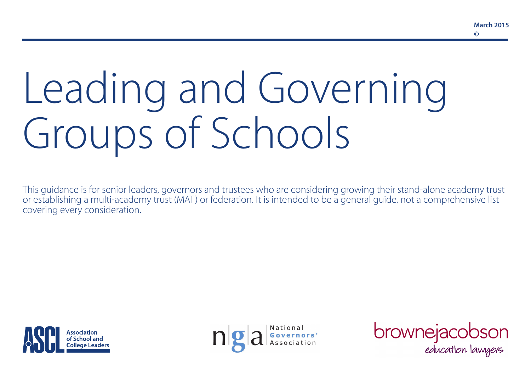# Leading and Governing Groups of Schools

This guidance is for senior leaders, governors and trustees who are considering growing their stand-alone academy trust or establishing a multi-academy trust (MAT) or federation. It is intended to be a general guide, not a comprehensive list covering every consideration.





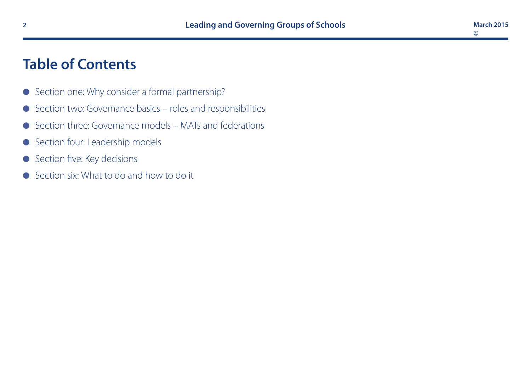# **Table of Contents**

- Section one: Why consider a formal partnership?
- **e** Section two: Governance basics roles and responsibilities
- $\bullet$  Section three: Governance models MATs and federations
- Section four: Leadership models
- **e** Section five: Key decisions
- Section six: What to do and how to do it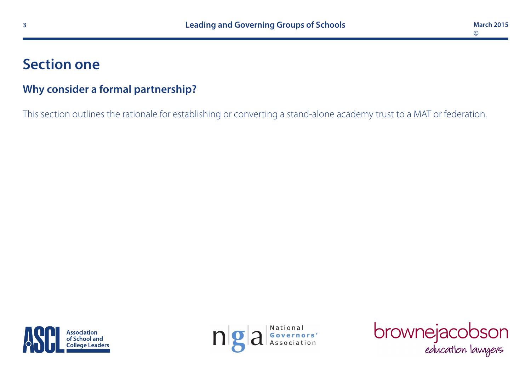# **Section one**

#### **Why consider a formal partnership?**

This section outlines the rationale for establishing or converting a stand-alone academy trust to a MAT or federation.





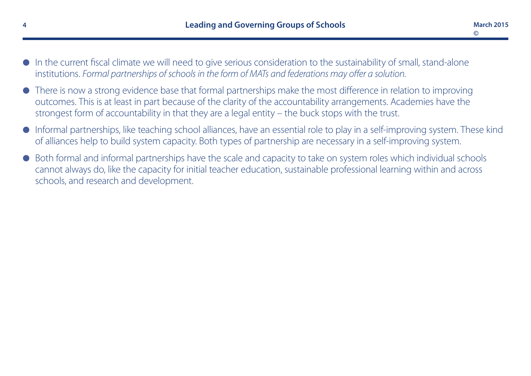- $\bullet$  In the current fiscal climate we will need to give serious consideration to the sustainability of small, stand-alone institutions. *Formal partnerships of schools in the form of MATs and federations may offer a solution.*
- l There is now a strong evidence base that formal partnerships make the most difference in relation to improving outcomes. This is at least in part because of the clarity of the accountability arrangements. Academies have the strongest form of accountability in that they are a legal entity – the buck stops with the trust.
- Informal partnerships, like teaching school alliances, have an essential role to play in a self-improving system. These kind of alliances help to build system capacity. Both types of partnership are necessary in a self-improving system.
- l Both formal and informal partnerships have the scale and capacity to take on system roles which individual schools cannot always do, like the capacity for initial teacher education, sustainable professional learning within and across schools, and research and development.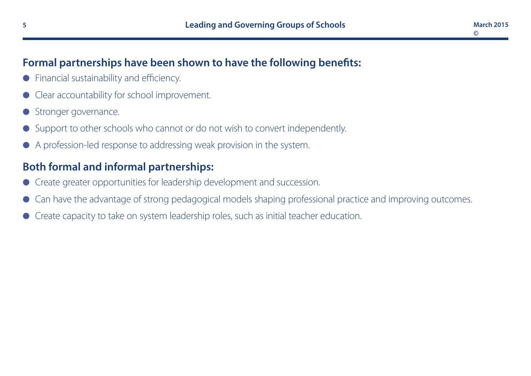# **Formal partnerships have been shown to have the following benefits:**

- Financial sustainability and efficiency.
- Clear accountability for school improvement.
- Stronger governance.
- Support to other schools who cannot or do not wish to convert independently.
- l A profession-led response to addressing weak provision in the system.

# **Both formal and informal partnerships:**

- l Create greater opportunities for leadership development and succession.
- Can have the advantage of strong pedagogical models shaping professional practice and improving outcomes.
- l Create capacity to take on system leadership roles, such as initial teacher education.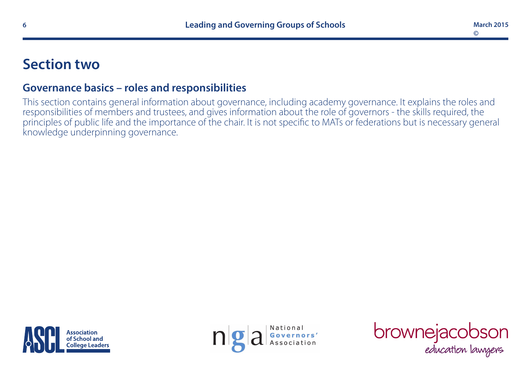# **Section two**

# **Governance basics – roles and responsibilities**

This section contains general information about governance, including academy governance. It explains the roles and responsibilities of members and trustees, and gives information about the role of governors - the skills required, the principles of public life and the importance of the chair. It is not specific to MATs or federations but is necessary general knowledge underpinning governance.





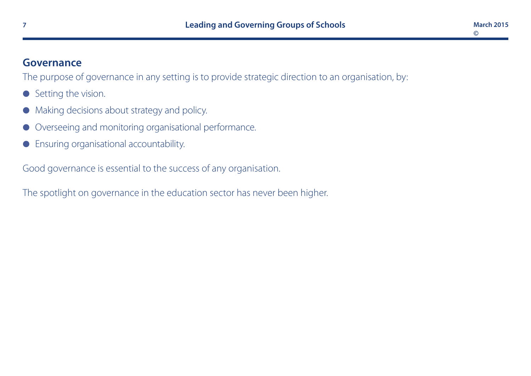#### **Governance**

The purpose of governance in any setting is to provide strategic direction to an organisation, by:

- **e** Setting the vision.
- $\bullet$  Making decisions about strategy and policy.
- Overseeing and monitoring organisational performance.
- **•** Ensuring organisational accountability.

Good governance is essential to the success of any organisation.

The spotlight on governance in the education sector has never been higher.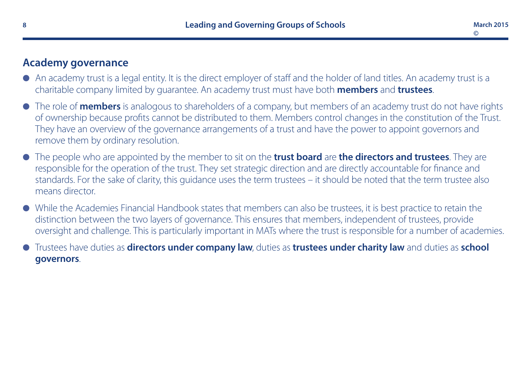#### **Academy governance**

- l An academy trust is a legal entity. It is the direct employer of staff and the holder of land titles. An academy trust is a charitable company limited by guarantee. An academy trust must have both **members** and **trustees**.
- l The role of **members** is analogous to shareholders of a company, but members of an academy trust do not have rights of ownership because profits cannot be distributed to them. Members control changes in the constitution of the Trust. They have an overview of the governance arrangements of a trust and have the power to appoint governors and remove them by ordinary resolution.
- l The people who are appointed by the member to sit on the **trust board** are **the directors and trustees**. They are responsible for the operation of the trust. They set strategic direction and are directly accountable for finance and standards. For the sake of clarity, this guidance uses the term trustees – it should be noted that the term trustee also means director.
- l While the Academies Financial Handbook states that members can also be trustees, it is best practice to retain the distinction between the two layers of governance. This ensures that members, independent of trustees, provide oversight and challenge. This is particularly important in MATs where the trust is responsible for a number of academies.
- l Trustees have duties as **directors under company law**, duties as **trustees under charity law** and duties as **school governors**.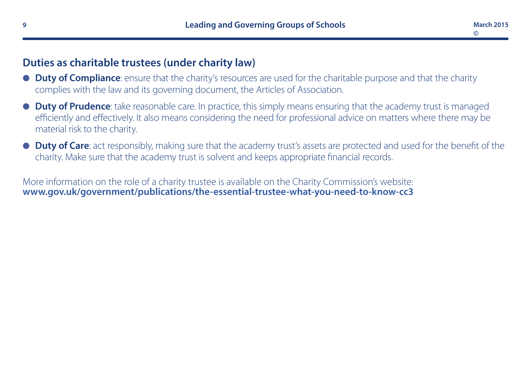#### **Duties as charitable trustees (under charity law)**

- **Duty of Compliance**: ensure that the charity's resources are used for the charitable purpose and that the charity complies with the law and its governing document, the Articles of Association.
- **Duty of Prudence**: take reasonable care. In practice, this simply means ensuring that the academy trust is managed efficiently and effectively. It also means considering the need for professional advice on matters where there may be material risk to the charity.
- **Duty of Care**: act responsibly, making sure that the academy trust's assets are protected and used for the benefit of the charity. Make sure that the academy trust is solvent and keeps appropriate financial records.

More information on the role of a charity trustee is available on the Charity Commission's website: **[www.gov.uk/government/publications/the-essential-trustee-what-you-need-to-know-cc3](http://www.gov.uk/government/publications/the-essential-trustee-what-you-need-to-know-cc3)**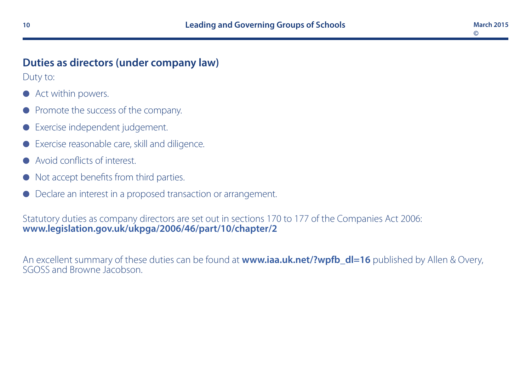# **Duties as directors (under company law)**

Duty to:

- Act within powers.
- Promote the success of the company.
- Exercise independent judgement.
- Exercise reasonable care, skill and diligence.
- l Avoid conflicts of interest.
- Not accept benefits from third parties.
- Declare an interest in a proposed transaction or arrangement.

#### Statutory duties as company directors are set out in sections 170 to 177 of the Companies Act 2006: **[www.legislation.gov.uk/ukpga/2006/46/part/10/chapter/2](http://www.legislation.gov.uk/ukpga/2006/46/part/10/chapter/2)**

An excellent summary of these duties can be found at **[www.iaa.uk.net/?wpfb\\_dl=16](http://www.iaa.uk.net/?wpfb_dl=16)** published by Allen & Overy, SGOSS and Browne Jacobson.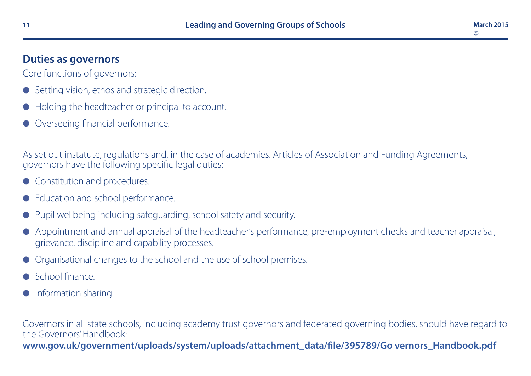# **Duties as governors**

Core functions of governors:

- Setting vision, ethos and strategic direction.
- l Holding the headteacher or principal to account.
- Overseeing financial performance.

As set out instatute, regulations and, in the case of academies. Articles of Association and Funding Agreements, governors have the following specific legal duties:

- Constitution and procedures.
- Education and school performance.
- Pupil wellbeing including safeguarding, school safety and security.
- l Appointment and annual appraisal of the headteacher's performance, pre-employment checks and teacher appraisal, grievance, discipline and capability processes.
- l Organisational changes to the school and the use of school premises.
- l School finance.
- Information sharing.

Governors in all state schools, including academy trust governors and federated governing bodies, should have regard to the Governors' Handbook: [www.gov.uk/government/uploads/system/uploads/attachment\\_data/file/395789/Go vernors\\_Handbook.pdf](https://www.gov.uk/government/uploads/system/uploads/attachment_data/file/395789/Governors_Handbook.pdf)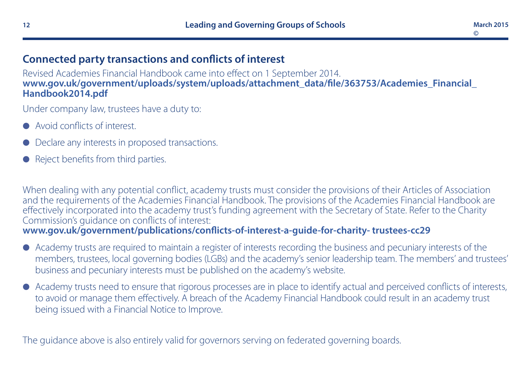#### **Connected party transactions and conflicts of interest**

Revised Academies Financial Handbook came into effect on 1 September 2014. **[www.gov.uk/government/uploads/system/uploads/attachment\\_data/file/363753/Academies\\_Financial\\_](http://www.gov.uk/government/uploads/system/uploads/attachment_data/file/363753/Academies_Financial_Handbook2014.pdf) [Handbook2014.pdf](http://www.gov.uk/government/uploads/system/uploads/attachment_data/file/363753/Academies_Financial_Handbook2014.pdf)**

Under company law, trustees have a duty to:

- l Avoid conflicts of interest.
- Declare any interests in proposed transactions.
- Reject benefits from third parties.

When dealing with any potential conflict, academy trusts must consider the provisions of their Articles of Association and the requirements of the Academies Financial Handbook. The provisions of the Academies Financial Handbook are effectively incorporated into the academy trust's funding agreement with the Secretary of State. Refer to the Charity Commission's guidance on conflicts of interest: **[www.gov.uk/government/publications/conflicts-of-interest-a-guide-for-charity- trustees-cc29](https://www.gov.uk/government/publications/conflicts-of-interest-a-guide-for-charity-trustees-cc29)**

- l Academy trusts are required to maintain a register of interests recording the business and pecuniary interests of the members, trustees, local governing bodies (LGBs) and the academy's senior leadership team. The members' and trustees' business and pecuniary interests must be published on the academy's website.
- l Academy trusts need to ensure that rigorous processes are in place to identify actual and perceived conflicts of interests, to avoid or manage them effectively. A breach of the Academy Financial Handbook could result in an academy trust being issued with a Financial Notice to Improve.

The guidance above is also entirely valid for governors serving on federated governing boards.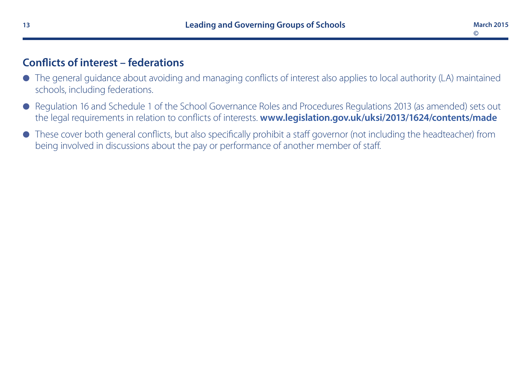## **Conflicts of interest – federations**

- l The general guidance about avoiding and managing conflicts of interest also applies to local authority (LA) maintained schools, including federations.
- Regulation 16 and Schedule 1 of the School Governance Roles and Procedures Regulations 2013 (as amended) sets out the legal requirements in relation to conflicts of interests. **[www.legislation.gov.uk/uksi/2013/1624/contents/made](http://www.legislation.gov.uk/uksi/2013/1624/contents/made)**
- l These cover both general conflicts, but also specifically prohibit a staff governor (not including the headteacher) from being involved in discussions about the pay or performance of another member of staff.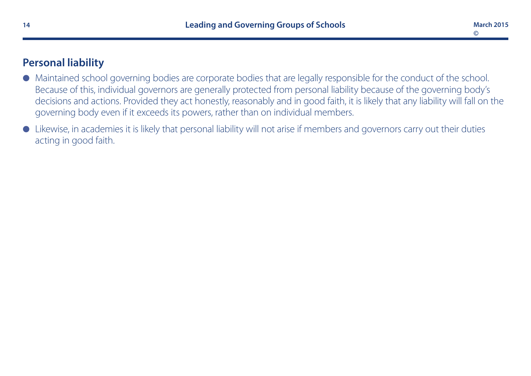# **Personal liability**

- l Maintained school governing bodies are corporate bodies that are legally responsible for the conduct of the school. Because of this, individual governors are generally protected from personal liability because of the governing body's decisions and actions. Provided they act honestly, reasonably and in good faith, it is likely that any liability will fall on the governing body even if it exceeds its powers, rather than on individual members.
- l Likewise, in academies it is likely that personal liability will not arise if members and governors carry out their duties acting in good faith.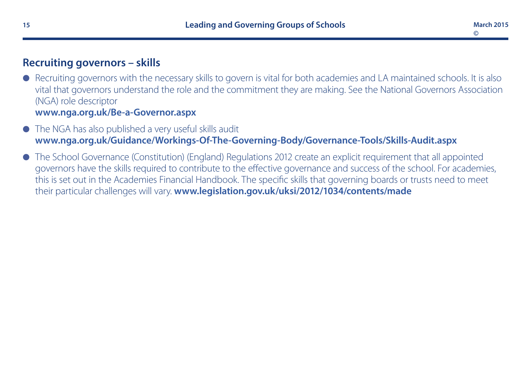#### **Recruiting governors – skills**

- Recruiting governors with the necessary skills to govern is vital for both academies and LA maintained schools. It is also vital that governors understand the role and the commitment they are making. See the National Governors Association (NGA) role descriptor **[www.nga.org.uk/Be-a-Governor.aspx](http://www.nga.org.uk/Be-a-Governor.aspx)**
- The NGA has also published a very useful skills audit **[www.nga.org.uk/Guidance/Workings-Of-The-Governing-Body/Governance-Tools/Skills-Audit.aspx](http://www.nga.org.uk/Guidance/Workings-Of-The-Governing-Body/Governance-Tools/Skills-Audit.aspx)**
- l The School Governance (Constitution) (England) Regulations 2012 create an explicit requirement that all appointed governors have the skills required to contribute to the effective governance and success of the school. For academies, this is set out in the Academies Financial Handbook. The specific skills that governing boards or trusts need to meet their particular challenges will vary. **[www.legislation.gov.uk/uksi/2012/1034/contents/made](http://www.legislation.gov.uk/uksi/2012/1034/contents/made)**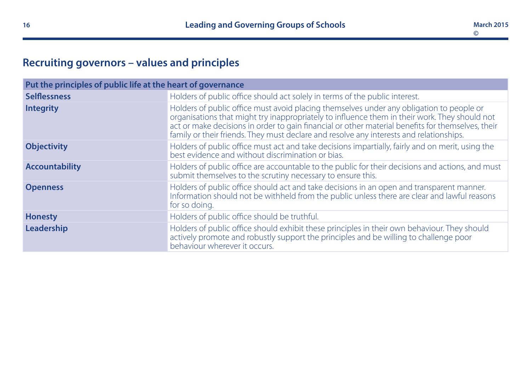# **Recruiting governors – values and principles**

| Put the principles of public life at the heart of governance |                                                                                                                                                                                                                                                                                                                                                                                           |  |
|--------------------------------------------------------------|-------------------------------------------------------------------------------------------------------------------------------------------------------------------------------------------------------------------------------------------------------------------------------------------------------------------------------------------------------------------------------------------|--|
| <b>Selflessness</b>                                          | Holders of public office should act solely in terms of the public interest.                                                                                                                                                                                                                                                                                                               |  |
| <b>Integrity</b>                                             | Holders of public office must avoid placing themselves under any obligation to people or<br>organisations that might try inappropriately to influence them in their work. They should not<br>act or make decisions in order to gain financial or other material benefits for themselves, their<br>family or their friends. They must declare and resolve any interests and relationships. |  |
| <b>Objectivity</b>                                           | Holders of public office must act and take decisions impartially, fairly and on merit, using the<br>best evidence and without discrimination or bias.                                                                                                                                                                                                                                     |  |
| <b>Accountability</b>                                        | Holders of public office are accountable to the public for their decisions and actions, and must<br>submit themselves to the scrutiny necessary to ensure this.                                                                                                                                                                                                                           |  |
| <b>Openness</b>                                              | Holders of public office should act and take decisions in an open and transparent manner.<br>Information should not be withheld from the public unless there are clear and lawful reasons<br>for so doing.                                                                                                                                                                                |  |
| <b>Honesty</b>                                               | Holders of public office should be truthful.                                                                                                                                                                                                                                                                                                                                              |  |
| Leadership                                                   | Holders of public office should exhibit these principles in their own behaviour. They should<br>actively promote and robustly support the principles and be willing to challenge poor<br>behaviour wherever it occurs.                                                                                                                                                                    |  |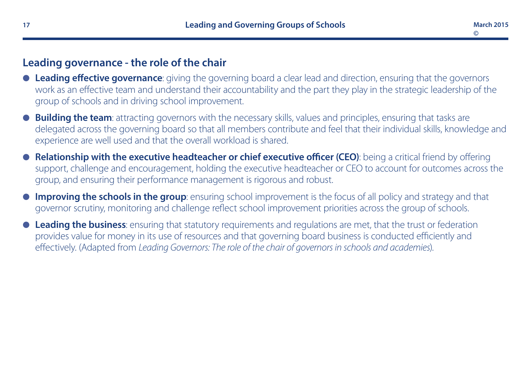# **Leading governance - the role of the chair**

- **Leading effective governance**: giving the governing board a clear lead and direction, ensuring that the governors work as an effective team and understand their accountability and the part they play in the strategic leadership of the group of schools and in driving school improvement.
- **Building the team**: attracting governors with the necessary skills, values and principles, ensuring that tasks are delegated across the governing board so that all members contribute and feel that their individual skills, knowledge and experience are well used and that the overall workload is shared.
- l **Relationship with the executive headteacher or chief executive officer (CEO)**: being a critical friend by offering support, challenge and encouragement, holding the executive headteacher or CEO to account for outcomes across the group, and ensuring their performance management is rigorous and robust.
- **Improving the schools in the group**: ensuring school improvement is the focus of all policy and strategy and that governor scrutiny, monitoring and challenge reflect school improvement priorities across the group of schools.
- **Leading the business**: ensuring that statutory requirements and regulations are met, that the trust or federation provides value for money in its use of resources and that governing board business is conducted efficiently and effectively. (Adapted from *Leading Governors: The role of the chair of governors in schools and academies*).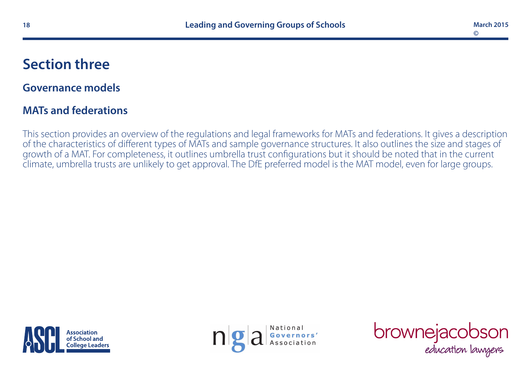# **Section three**

# **Governance models**

# **MATs and federations**

This section provides an overview of the regulations and legal frameworks for MATs and federations. It gives a description of the characteristics of different types of MATs and sample governance structures. It also outlines the size and stages of growth of a MAT. For completeness, it outlines umbrella trust configurations but it should be noted that in the current climate, umbrella trusts are unlikely to get approval. The DfE preferred model is the MAT model, even for large groups.





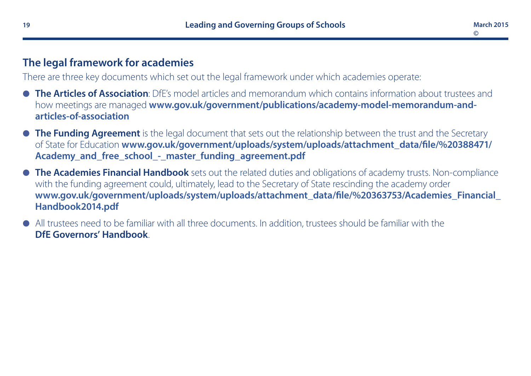## **The legal framework for academies**

There are three key documents which set out the legal framework under which academies operate:

- **The Articles of Association**: DfF's model articles and memorandum which contains information about trustees and how meetings are managed **[www.gov.uk/government/publications/academy-model-memorandum-and](https://www.gov.uk/government/publications/academy-model-memorandum-and-articles-of-association)[articles-of-association](https://www.gov.uk/government/publications/academy-model-memorandum-and-articles-of-association)**
- **The Funding Agreement** is the legal document that sets out the relationship between the trust and the Secretary of State for Education **[www.gov.uk/government/uploads/system/uploads/attachment\\_data/file/%20388471/](https://www.gov.uk/government/uploads/system/uploads/attachment_data/file/%20388471/Academy_and_free_school_-_master_funding_agreement.pdf) [Academy\\_and\\_free\\_school\\_-\\_master\\_funding\\_agreement.pdf](https://www.gov.uk/government/uploads/system/uploads/attachment_data/file/%20388471/Academy_and_free_school_-_master_funding_agreement.pdf)**
- **The Academies Financial Handbook** sets out the related duties and obligations of academy trusts. Non-compliance with the funding agreement could, ultimately, lead to the Secretary of State rescinding the academy order **[www.gov.uk/government/uploads/system/uploads/attachment\\_data/file/%20363753/Academies\\_Financial\\_](http://www.gov.uk/government/uploads/system/uploads/attachment_data/file/%20363753/Academies_Financial_Handbook2014.pdf) [Handbook2014.pdf](http://www.gov.uk/government/uploads/system/uploads/attachment_data/file/%20363753/Academies_Financial_Handbook2014.pdf)**
- l All trustees need to be familiar with all three documents. In addition, trustees should be familiar with the **DfE Governors' Handbook**.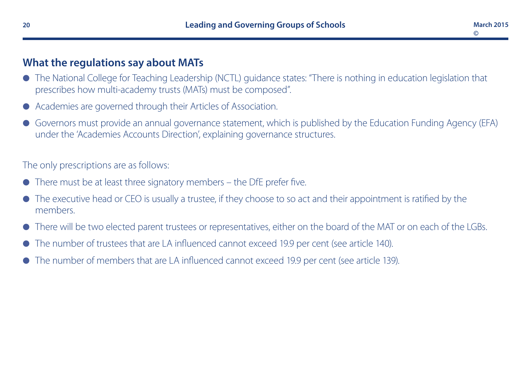#### **What the regulations say about MATs**

- l The National College for Teaching Leadership (NCTL) guidance states: "There is nothing in education legislation that prescribes how multi-academy trusts (MATs) must be composed".
- Academies are governed through their Articles of Association.
- l Governors must provide an annual governance statement, which is published by the Education Funding Agency (EFA) under the 'Academies Accounts Direction', explaining governance structures.

The only prescriptions are as follows:

- There must be at least three signatory members the DfE prefer five.
- The executive head or CEO is usually a trustee, if they choose to so act and their appointment is ratified by the members.
- l There will be two elected parent trustees or representatives, either on the board of the MAT or on each of the LGBs.
- The number of trustees that are LA influenced cannot exceed 19.9 per cent (see article 140).
- The number of members that are LA influenced cannot exceed 19.9 per cent (see article 139).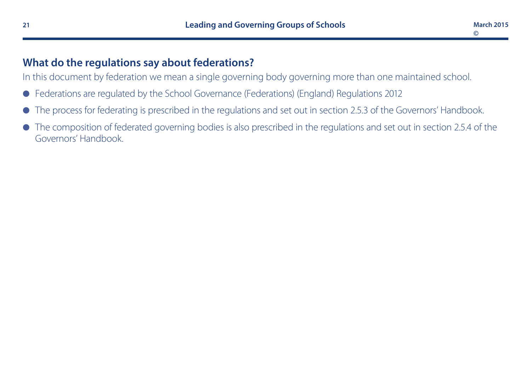# **What do the regulations say about federations?**

In this document by federation we mean a single governing body governing more than one maintained school.

- l Federations are regulated by the School Governance (Federations) (England) Regulations 2012
- l The process for federating is prescribed in the regulations and set out in section 2.5.3 of the Governors' Handbook.
- The composition of federated governing bodies is also prescribed in the regulations and set out in section 2.5.4 of the Governors' Handbook.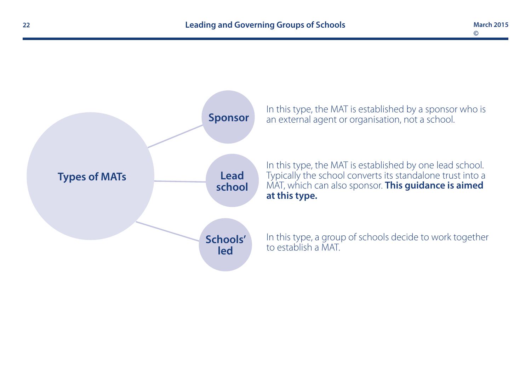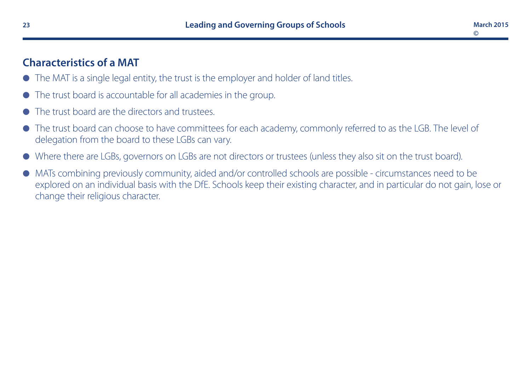## **Characteristics of a MAT**

- The MAT is a single legal entity, the trust is the employer and holder of land titles.
- The trust board is accountable for all academies in the group.
- The trust board are the directors and trustees.
- l The trust board can choose to have committees for each academy, commonly referred to as the LGB. The level of delegation from the board to these LGBs can vary.
- l Where there are LGBs, governors on LGBs are not directors or trustees (unless they also sit on the trust board).
- l MATs combining previously community, aided and/or controlled schools are possible circumstances need to be explored on an individual basis with the DfE. Schools keep their existing character, and in particular do not gain, lose or change their religious character.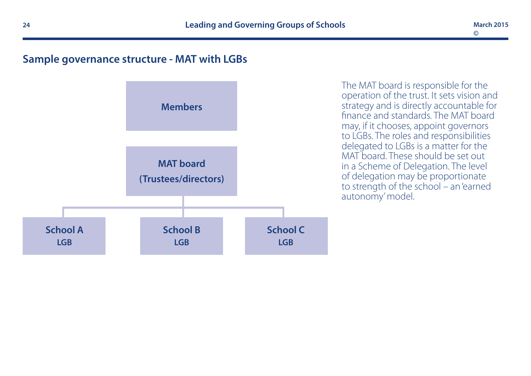#### **Sample governance structure - MAT with LGBs**



The MAT board is responsible for the operation of the trust. It sets vision and strategy and is directly accountable for finance and standards. The MAT board may, if it chooses, appoint governors to LGBs. The roles and responsibilities delegated to LGBs is a matter for the MAT board. These should be set out in a Scheme of Delegation. The level of delegation may be proportionate to strength of the school – an 'earned autonomy' model.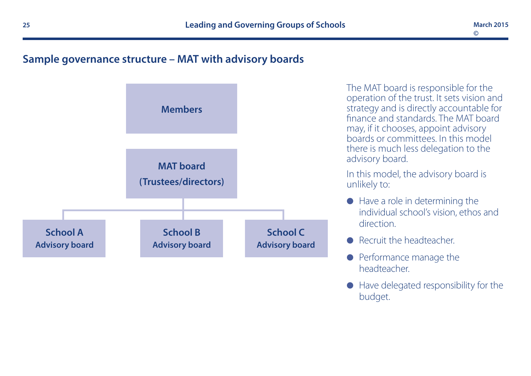#### **Sample governance structure – MAT with advisory boards**



The MAT board is responsible for the operation of the trust. It sets vision and strategy and is directly accountable for finance and standards. The MAT board may, if it chooses, appoint advisory boards or committees. In this model there is much less delegation to the advisory board.

In this model, the advisory board is unlikely to:

- $\bullet$  Have a role in determining the individual school's vision, ethos and direction.
- Recruit the headteacher.
- **•** Performance manage the headteacher.
- $\bullet$  Have delegated responsibility for the budget.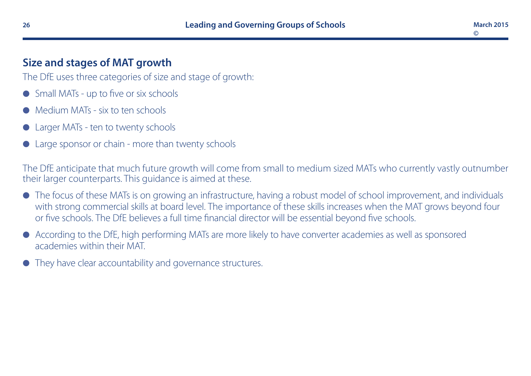# **Size and stages of MAT growth**

The DfE uses three categories of size and stage of growth:

- l Small MATs up to five or six schools
- l Medium MATs six to ten schools
- Larger MATs ten to twenty schools
- Large sponsor or chain more than twenty schools

The DfE anticipate that much future growth will come from small to medium sized MATs who currently vastly outnumber their larger counterparts. This guidance is aimed at these.

- The focus of these MATs is on growing an infrastructure, having a robust model of school improvement, and individuals with strong commercial skills at board level. The importance of these skills increases when the MAT grows beyond four or five schools. The DfE believes a full time financial director will be essential beyond five schools.
- l According to the DfE, high performing MATs are more likely to have converter academies as well as sponsored academies within their MAT.
- They have clear accountability and governance structures.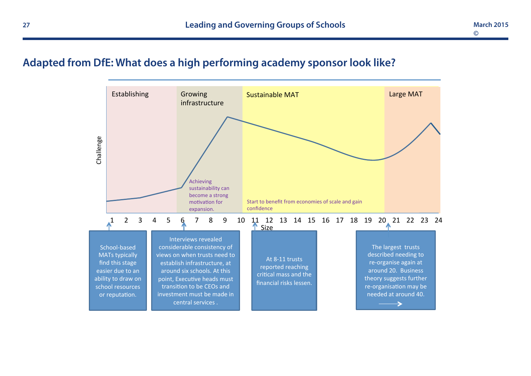# **Adapted from DfE: What does a high performing academy sponsor look like?**

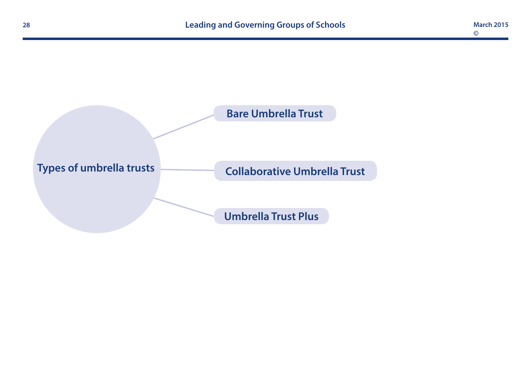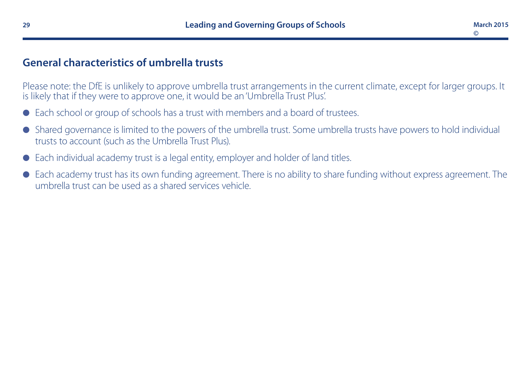#### **General characteristics of umbrella trusts**

Please note: the DfE is unlikely to approve umbrella trust arrangements in the current climate, except for larger groups. It is likely that if they were to approve one, it would be an 'Umbrella Trust Plus'.

- Each school or group of schools has a trust with members and a board of trustees.
- l Shared governance is limited to the powers of the umbrella trust. Some umbrella trusts have powers to hold individual trusts to account (such as the Umbrella Trust Plus).
- Each individual academy trust is a legal entity, employer and holder of land titles.
- Each academy trust has its own funding agreement. There is no ability to share funding without express agreement. The umbrella trust can be used as a shared services vehicle.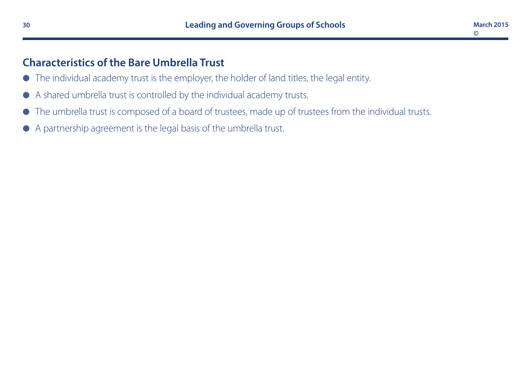**March 2015**

**©**

# **Characteristics of the Bare Umbrella Trust**

- l The individual academy trust is the employer, the holder of land titles, the legal entity.
- l A shared umbrella trust is controlled by the individual academy trusts.
- $\bullet$  The umbrella trust is composed of a board of trustees, made up of trustees from the individual trusts.
- l A partnership agreement is the legal basis of the umbrella trust.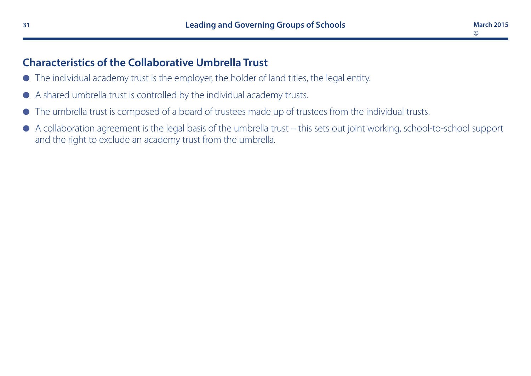## **Characteristics of the Collaborative Umbrella Trust**

- $\bullet$  The individual academy trust is the employer, the holder of land titles, the legal entity.
- l A shared umbrella trust is controlled by the individual academy trusts.
- l The umbrella trust is composed of a board of trustees made up of trustees from the individual trusts.
- A collaboration agreement is the legal basis of the umbrella trust this sets out joint working, school-to-school support and the right to exclude an academy trust from the umbrella.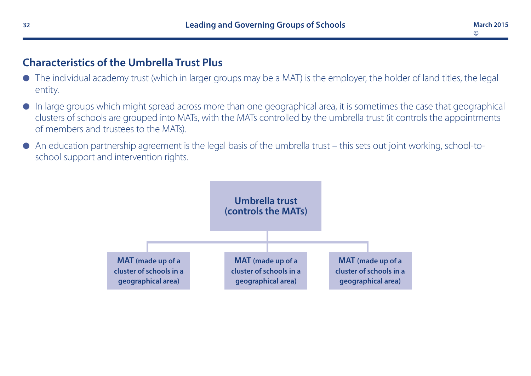# **Characteristics of the Umbrella Trust Plus**

- l The individual academy trust (which in larger groups may be a MAT) is the employer, the holder of land titles, the legal entity.
- $\bullet$  In large groups which might spread across more than one geographical area, it is sometimes the case that geographical clusters of schools are grouped into MATs, with the MATs controlled by the umbrella trust (it controls the appointments of members and trustees to the MATs).
- $\bullet$  An education partnership agreement is the legal basis of the umbrella trust this sets out joint working, school-toschool support and intervention rights.

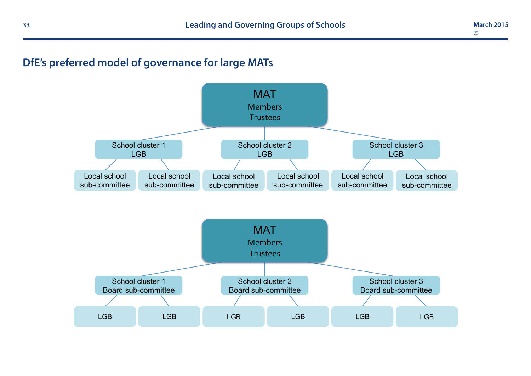# **DfE's preferred model of governance for large MATs**

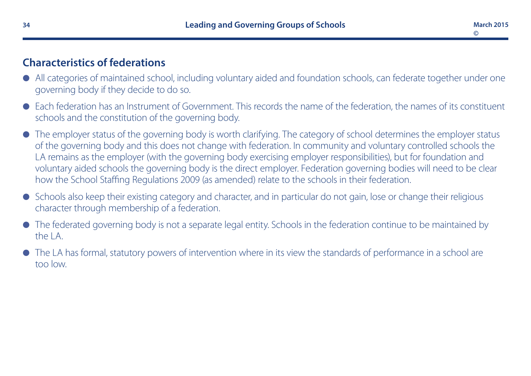# **Characteristics of federations**

- All categories of maintained school, including voluntary aided and foundation schools, can federate together under one governing body if they decide to do so.
- Each federation has an Instrument of Government. This records the name of the federation, the names of its constituent schools and the constitution of the governing body.
- The employer status of the governing body is worth clarifying. The category of school determines the employer status of the governing body and this does not change with federation. In community and voluntary controlled schools the LA remains as the employer (with the governing body exercising employer responsibilities), but for foundation and voluntary aided schools the governing body is the direct employer. Federation governing bodies will need to be clear how the School Staffing Regulations 2009 (as amended) relate to the schools in their federation.
- l Schools also keep their existing category and character, and in particular do not gain, lose or change their religious character through membership of a federation.
- l The federated governing body is not a separate legal entity. Schools in the federation continue to be maintained by the LA.
- $\bullet$  The LA has formal, statutory powers of intervention where in its view the standards of performance in a school are too low.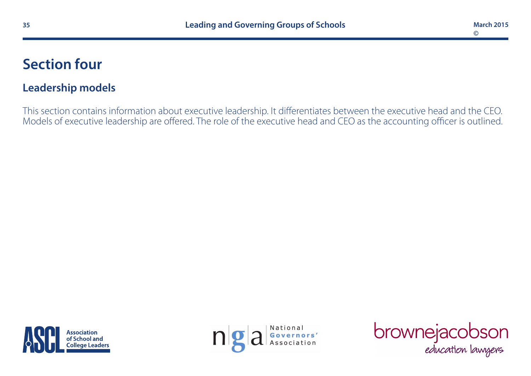# **Section four**

# **Leadership models**

This section contains information about executive leadership. It differentiates between the executive head and the CEO. Models of executive leadership are offered. The role of the executive head and CEO as the accounting officer is outlined.





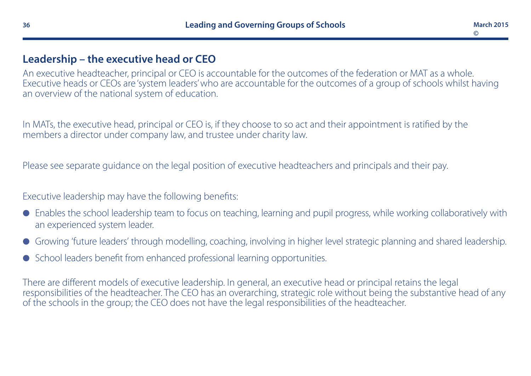#### **Leadership – the executive head or CEO**

An executive headteacher, principal or CEO is accountable for the outcomes of the federation or MAT as a whole. Executive heads or CEOs are 'system leaders' who are accountable for the outcomes of a group of schools whilst having an overview of the national system of education.

In MATs, the executive head, principal or CEO is, if they choose to so act and their appointment is ratified by the members a director under company law, and trustee under charity law.

Please see separate guidance on the legal position of executive headteachers and principals and their pay.

Executive leadership may have the following benefits:

- l Enables the school leadership team to focus on teaching, learning and pupil progress, while working collaboratively with an experienced system leader.
- l Growing 'future leaders' through modelling, coaching, involving in higher level strategic planning and shared leadership.
- School leaders benefit from enhanced professional learning opportunities.

There are different models of executive leadership. In general, an executive head or principal retains the legal responsibilities of the headteacher. The CEO has an overarching, strategic role without being the substantive head of any of the schools in the group; the CEO does not have the legal responsibilities of the headteacher.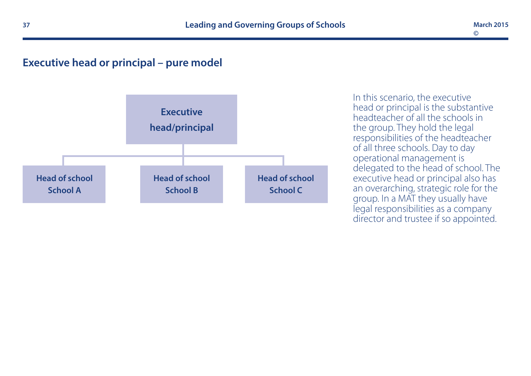#### **Executive head or principal – pure model**



In this scenario, the executive head or principal is the substantive headteacher of all the schools in the group. They hold the legal responsibilities of the headteacher of all three schools. Day to day operational management is delegated to the head of school. The executive head or principal also has an overarching, strategic role for the group. In a MAT they usually have legal responsibilities as a company director and trustee if so appointed.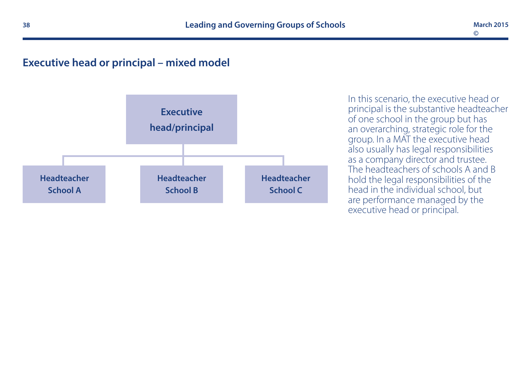#### **Executive head or principal – mixed model**



In this scenario, the executive head or principal is the substantive headteacher of one school in the group but has an overarching, strategic role for the group. In a MAT the executive head also usually has legal responsibilities as a company director and trustee. The headteachers of schools A and B hold the legal responsibilities of the head in the individual school, but are performance managed by the executive head or principal.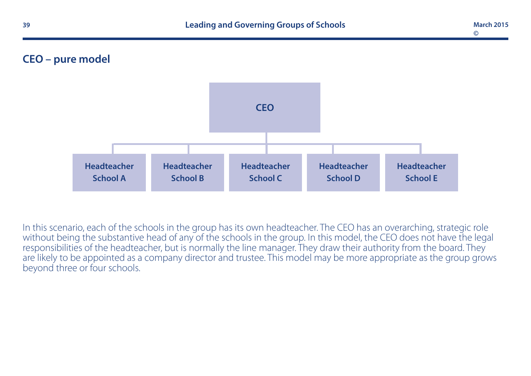# **CEO – pure model**



In this scenario, each of the schools in the group has its own headteacher. The CEO has an overarching, strategic role without being the substantive head of any of the schools in the group. In this model, the CEO does not have the legal responsibilities of the headteacher, but is normally the line manager. They draw their authority from the board. They are likely to be appointed as a company director and trustee. This model may be more appropriate as the group grows beyond three or four schools.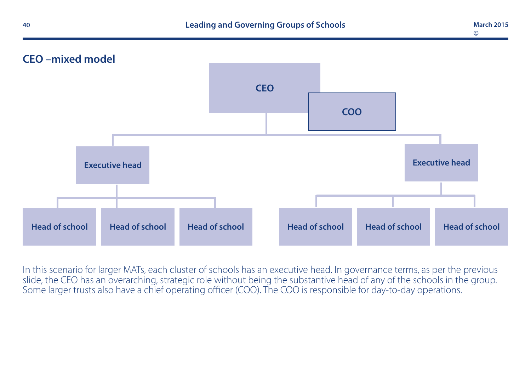



In this scenario for larger MATs, each cluster of schools has an executive head. In governance terms, as per the previous slide, the CEO has an overarching, strategic role without being the substantive head of any of the schools in the group. Some larger trusts also have a chief operating officer (COO). The COO is responsible for day-to-day operations.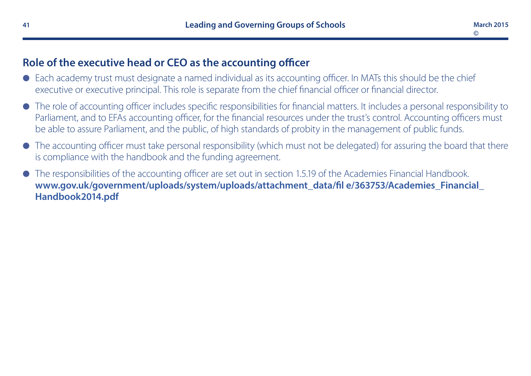## **Role of the executive head or CEO as the accounting officer**

- l Each academy trust must designate a named individual as its accounting officer. In MATs this should be the chief executive or executive principal. This role is separate from the chief financial officer or financial director.
- l The role of accounting officer includes specific responsibilities for financial matters. It includes a personal responsibility to Parliament, and to EFAs accounting officer, for the financial resources under the trust's control. Accounting officers must be able to assure Parliament, and the public, of high standards of probity in the management of public funds.
- $\bullet$  The accounting officer must take personal responsibility (which must not be delegated) for assuring the board that there is compliance with the handbook and the funding agreement.
- l The responsibilities of the accounting officer are set out in section 1.5.19 of the Academies Financial Handbook. **[www.gov.uk/government/uploads/system/uploads/attachment\\_data/fil e/363753/Academies\\_Financial\\_](https://www.gov.uk/government/publications/academies-financial-handbook) [Handbook2014.pdf](https://www.gov.uk/government/publications/academies-financial-handbook)**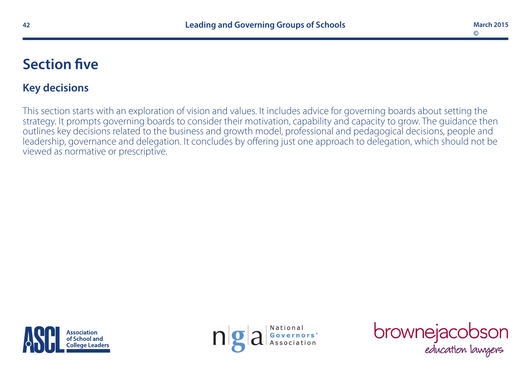# **Section five**

# **Key decisions**

This section starts with an exploration of vision and values. It includes advice for governing boards about setting the strategy. It prompts governing boards to consider their motivation, capability and capacity to grow. The guidance then outlines key decisions related to the business and growth model, professional and pedagogical decisions, people and leadership, governance and delegation. It concludes by offering just one approach to delegation, which should not be viewed as normative or prescriptive.





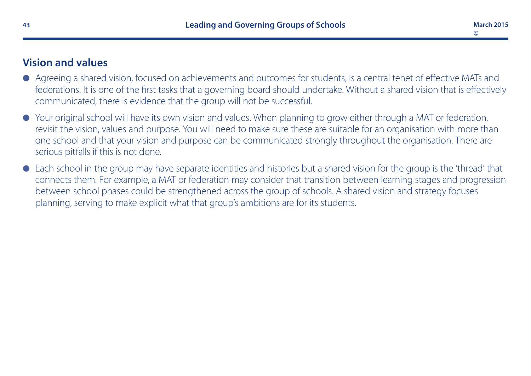# **Vision and values**

- Agreeing a shared vision, focused on achievements and outcomes for students, is a central tenet of effective MATs and federations. It is one of the first tasks that a governing board should undertake. Without a shared vision that is effectively communicated, there is evidence that the group will not be successful.
- l Your original school will have its own vision and values. When planning to grow either through a MAT or federation, revisit the vision, values and purpose. You will need to make sure these are suitable for an organisation with more than one school and that your vision and purpose can be communicated strongly throughout the organisation. There are serious pitfalls if this is not done.
- l Each school in the group may have separate identities and histories but a shared vision for the group is the 'thread' that connects them. For example, a MAT or federation may consider that transition between learning stages and progression between school phases could be strengthened across the group of schools. A shared vision and strategy focuses planning, serving to make explicit what that group's ambitions are for its students.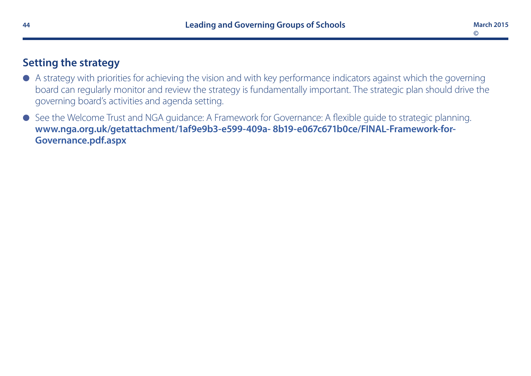# **Setting the strategy**

- $\bullet$  A strategy with priorities for achieving the vision and with key performance indicators against which the governing board can regularly monitor and review the strategy is fundamentally important. The strategic plan should drive the governing board's activities and agenda setting.
- See the Welcome Trust and NGA guidance: A Framework for Governance: A flexible guide to strategic planning. **[www.nga.org.uk/getattachment/1af9e9b3-e599-409a- 8b19-e067c671b0ce/FINAL-Framework-for-](http://www.nga.org.uk/getattachment/1af9e9b3-e599-409a-8b19-e067c671b0ce/FINAL-Framework-for-Governance.pdf.aspx)[Governance.pdf.aspx](http://www.nga.org.uk/getattachment/1af9e9b3-e599-409a-8b19-e067c671b0ce/FINAL-Framework-for-Governance.pdf.aspx)**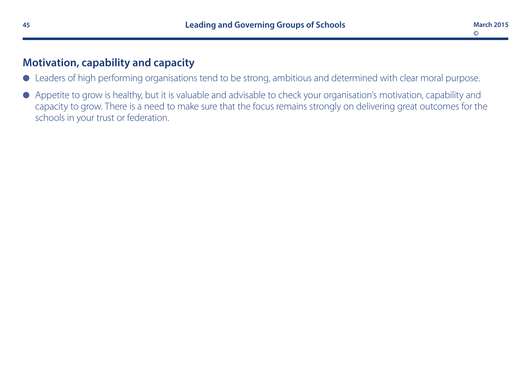# **Motivation, capability and capacity**

- l Leaders of high performing organisations tend to be strong, ambitious and determined with clear moral purpose.
- l Appetite to grow is healthy, but it is valuable and advisable to check your organisation's motivation, capability and capacity to grow. There is a need to make sure that the focus remains strongly on delivering great outcomes for the schools in your trust or federation.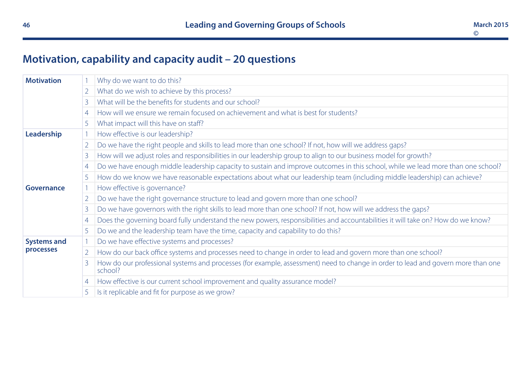# **Motivation, capability and capacity audit – 20 questions**

| <b>Motivation</b>                |                | Why do we want to do this?                                                                                                                  |
|----------------------------------|----------------|---------------------------------------------------------------------------------------------------------------------------------------------|
| $\overline{2}$<br>$\overline{4}$ |                | What do we wish to achieve by this process?                                                                                                 |
|                                  |                | What will be the benefits for students and our school?                                                                                      |
|                                  |                | How will we ensure we remain focused on achievement and what is best for students?                                                          |
|                                  | 5              | What impact will this have on staff?                                                                                                        |
| Leadership                       |                | How effective is our leadership?                                                                                                            |
|                                  | $\overline{2}$ | Do we have the right people and skills to lead more than one school? If not, how will we address gaps?                                      |
|                                  | 3              | How will we adjust roles and responsibilities in our leadership group to align to our business model for growth?                            |
| 4<br>5                           |                | Do we have enough middle leadership capacity to sustain and improve outcomes in this school, while we lead more than one school?            |
|                                  |                | How do we know we have reasonable expectations about what our leadership team (including middle leadership) can achieve?                    |
| Governance                       |                | How effective is governance?                                                                                                                |
|                                  | $\overline{2}$ | Do we have the right governance structure to lead and govern more than one school?                                                          |
|                                  | 3              | Do we have governors with the right skills to lead more than one school? If not, how will we address the gaps?                              |
|                                  | 4              | Does the governing board fully understand the new powers, responsibilities and accountabilities it will take on? How do we know?            |
|                                  | 5              | Do we and the leadership team have the time, capacity and capability to do this?                                                            |
| <b>Systems and</b><br>processes  |                | Do we have effective systems and processes?                                                                                                 |
|                                  | 2 <sup>1</sup> | How do our back office systems and processes need to change in order to lead and govern more than one school?                               |
|                                  |                | How do our professional systems and processes (for example, assessment) need to change in order to lead and govern more than one<br>school? |
|                                  | 4              | How effective is our current school improvement and quality assurance model?                                                                |
|                                  |                | Is it replicable and fit for purpose as we grow?                                                                                            |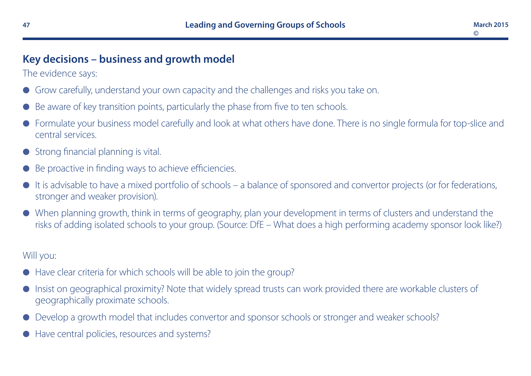# **Key decisions – business and growth model**

The evidence says:

- Grow carefully, understand your own capacity and the challenges and risks you take on.
- Be aware of key transition points, particularly the phase from five to ten schools.
- l Formulate your business model carefully and look at what others have done. There is no single formula for top-slice and central services.
- Strong financial planning is vital.
- Be proactive in finding ways to achieve efficiencies.
- It is advisable to have a mixed portfolio of schools a balance of sponsored and convertor projects (or for federations, stronger and weaker provision).
- l When planning growth, think in terms of geography, plan your development in terms of clusters and understand the risks of adding isolated schools to your group. (Source: DfE – What does a high performing academy sponsor look like?)

- $\bullet$  Have clear criteria for which schools will be able to join the group?
- l Insist on geographical proximity? Note that widely spread trusts can work provided there are workable clusters of geographically proximate schools.
- Develop a growth model that includes convertor and sponsor schools or stronger and weaker schools?
- Have central policies, resources and systems?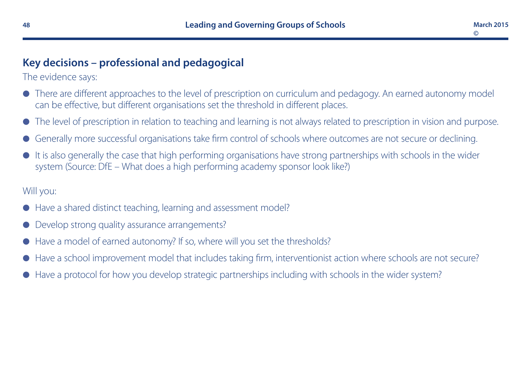# **Key decisions – professional and pedagogical**

The evidence says:

- There are different approaches to the level of prescription on curriculum and pedagogy. An earned autonomy model can be effective, but different organisations set the threshold in different places.
- The level of prescription in relation to teaching and learning is not always related to prescription in vision and purpose.
- Generally more successful organisations take firm control of schools where outcomes are not secure or declining.
- It is also generally the case that high performing organisations have strong partnerships with schools in the wider system (Source: DfE – What does a high performing academy sponsor look like?)

- Have a shared distinct teaching, learning and assessment model?
- Develop strong quality assurance arrangements?
- Have a model of earned autonomy? If so, where will you set the thresholds?
- Have a school improvement model that includes taking firm, interventionist action where schools are not secure?
- Have a protocol for how you develop strategic partnerships including with schools in the wider system?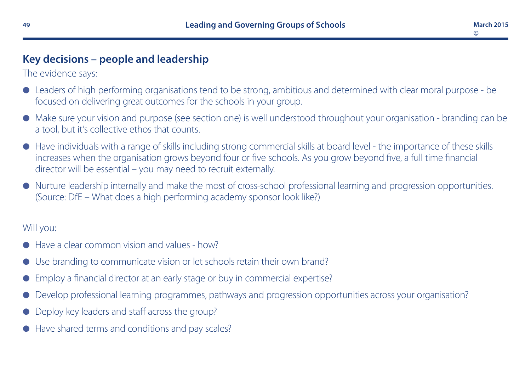# **Key decisions – people and leadership**

The evidence says:

- l Leaders of high performing organisations tend to be strong, ambitious and determined with clear moral purpose be focused on delivering great outcomes for the schools in your group.
- l Make sure your vision and purpose (see section one) is well understood throughout your organisation branding can be a tool, but it's collective ethos that counts.
- l Have individuals with a range of skills including strong commercial skills at board level the importance of these skills increases when the organisation grows beyond four or five schools. As you grow beyond five, a full time financial director will be essential – you may need to recruit externally.
- l Nurture leadership internally and make the most of cross-school professional learning and progression opportunities. (Source: DfE – What does a high performing academy sponsor look like?)

- Have a clear common vision and values how?
- Use branding to communicate vision or let schools retain their own brand?
- Employ a financial director at an early stage or buy in commercial expertise?
- Develop professional learning programmes, pathways and progression opportunities across your organisation?
- Deploy key leaders and staff across the group?
- Have shared terms and conditions and pay scales?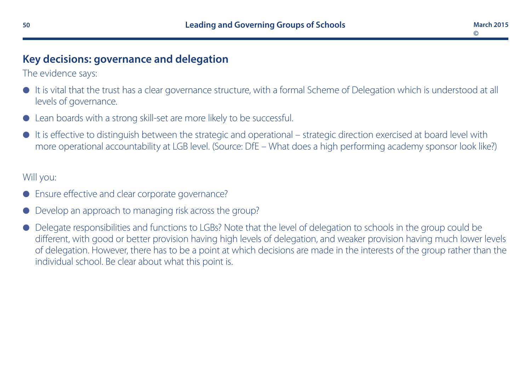# **Key decisions: governance and delegation**

The evidence says:

- It is vital that the trust has a clear governance structure, with a formal Scheme of Delegation which is understood at all levels of governance.
- Lean boards with a strong skill-set are more likely to be successful.
- It is effective to distinguish between the strategic and operational strategic direction exercised at board level with more operational accountability at LGB level. (Source: DfE – What does a high performing academy sponsor look like?)

- Ensure effective and clear corporate governance?
- Develop an approach to managing risk across the group?
- l Delegate responsibilities and functions to LGBs? Note that the level of delegation to schools in the group could be different, with good or better provision having high levels of delegation, and weaker provision having much lower levels of delegation. However, there has to be a point at which decisions are made in the interests of the group rather than the individual school. Be clear about what this point is.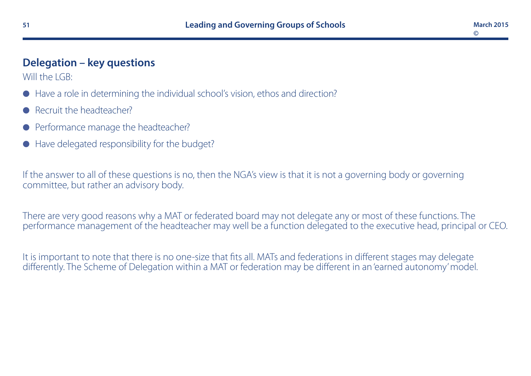# **Delegation – key questions**

Will the LGB:

- Have a role in determining the individual school's vision, ethos and direction?
- Recruit the headteacher?
- Performance manage the headteacher?
- Have delegated responsibility for the budget?

If the answer to all of these questions is no, then the NGA's view is that it is not a governing body or governing committee, but rather an advisory body.

There are very good reasons why a MAT or federated board may not delegate any or most of these functions. The performance management of the headteacher may well be a function delegated to the executive head, principal or CEO.

It is important to note that there is no one-size that fits all. MATs and federations in different stages may delegate differently. The Scheme of Delegation within a MAT or federation may be different in an 'earned autonomy' model.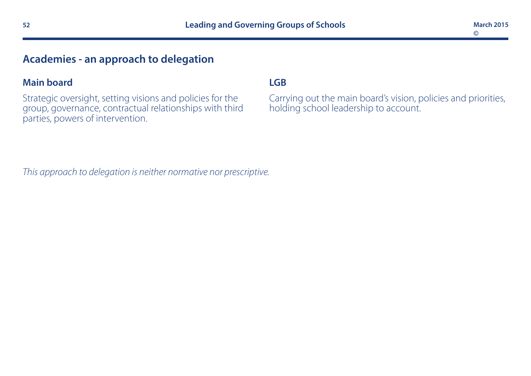# **Academies - an approach to delegation**

#### **Main board**

Strategic oversight, setting visions and policies for the group, governance, contractual relationships with third parties, powers of intervention.

#### **LGB**

Carrying out the main board's vision, policies and priorities, holding school leadership to account.

*This approach to delegation is neither normative nor prescriptive.*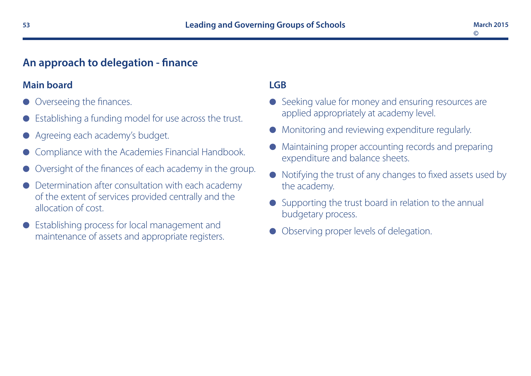# **An approach to delegation - finance**

#### **Main board**

- Overseeing the finances.
- Establishing a funding model for use across the trust.
- Agreeing each academy's budget.
- Compliance with the Academies Financial Handbook.
- Oversight of the finances of each academy in the group.
- Determination after consultation with each academy of the extent of services provided centrally and the allocation of cost.
- l Establishing process for local management and maintenance of assets and appropriate registers.

## **LGB**

- **e** Seeking value for money and ensuring resources are applied appropriately at academy level.
- **Monitoring and reviewing expenditure regularly.**
- l Maintaining proper accounting records and preparing expenditure and balance sheets.
- $\bullet$  Notifying the trust of any changes to fixed assets used by the academy.
- $\bullet$  Supporting the trust board in relation to the annual budgetary process.
- Observing proper levels of delegation.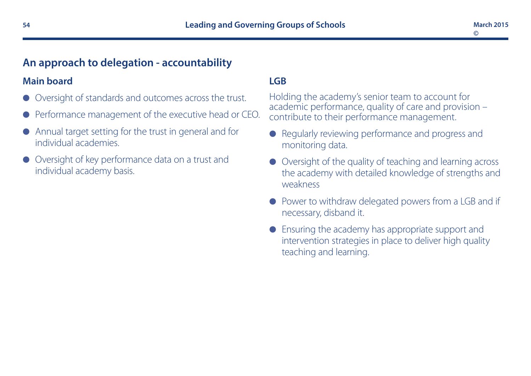# **An approach to delegation - accountability**

#### **Main board**

- Oversight of standards and outcomes across the trust.
- Performance management of the executive head or CEO.
- $\bullet$  Annual target setting for the trust in general and for individual academies.
- Oversight of key performance data on a trust and individual academy basis.

#### **LGB**

Holding the academy's senior team to account for academic performance, quality of care and provision – contribute to their performance management.

- Regularly reviewing performance and progress and monitoring data.
- l Oversight of the quality of teaching and learning across the academy with detailed knowledge of strengths and weakness
- **Power to withdraw delegated powers from a LGB and if** necessary, disband it.
- Ensuring the academy has appropriate support and intervention strategies in place to deliver high quality teaching and learning.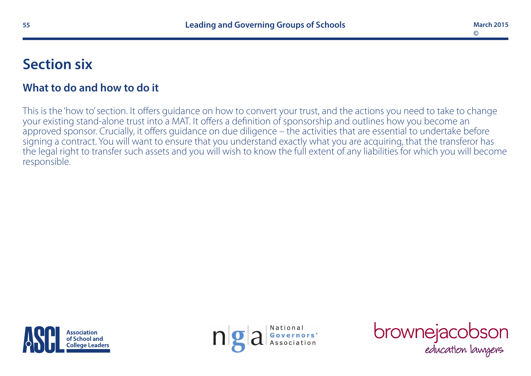# **Section six**

# **What to do and how to do it**

This is the 'how to' section. It offers guidance on how to convert your trust, and the actions you need to take to change your existing stand-alone trust into a MAT. It offers a definition of sponsorship and outlines how you become an approved sponsor. Crucially, it offers guidance on due diligence – the activities that are essential to undertake before signing a contract. You will want to ensure that you understand exactly what you are acquiring, that the transferor has the legal right to transfer such assets and you will wish to know the full extent of any liabilities for which you will become responsible.





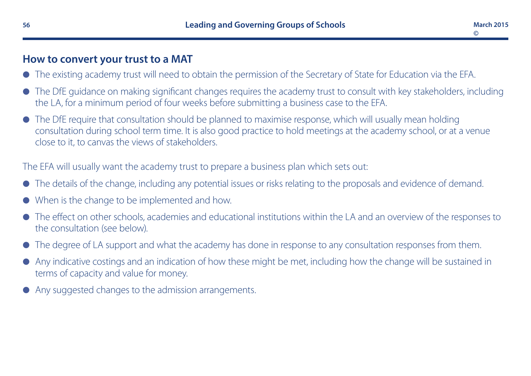# **How to convert your trust to a MAT**

- l The existing academy trust will need to obtain the permission of the Secretary of State for Education via the EFA.
- l The DfE guidance on making significant changes requires the academy trust to consult with key stakeholders, including the LA, for a minimum period of four weeks before submitting a business case to the EFA.
- The DfE require that consultation should be planned to maximise response, which will usually mean holding consultation during school term time. It is also good practice to hold meetings at the academy school, or at a venue close to it, to canvas the views of stakeholders.

The EFA will usually want the academy trust to prepare a business plan which sets out:

- l The details of the change, including any potential issues or risks relating to the proposals and evidence of demand.
- When is the change to be implemented and how.
- l The effect on other schools, academies and educational institutions within the LA and an overview of the responses to the consultation (see below).
- The degree of LA support and what the academy has done in response to any consultation responses from them.
- l Any indicative costings and an indication of how these might be met, including how the change will be sustained in terms of capacity and value for money.
- Any suggested changes to the admission arrangements.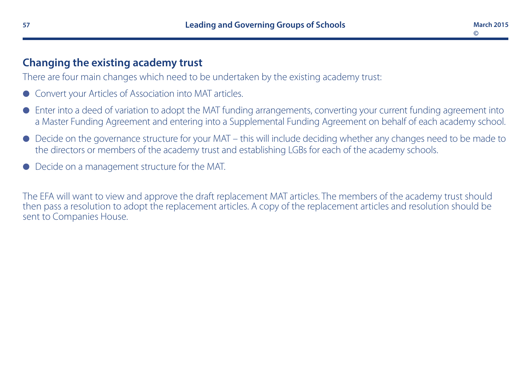# **Changing the existing academy trust**

There are four main changes which need to be undertaken by the existing academy trust:

- Convert your Articles of Association into MAT articles.
- l Enter into a deed of variation to adopt the MAT funding arrangements, converting your current funding agreement into a Master Funding Agreement and entering into a Supplemental Funding Agreement on behalf of each academy school.
- l Decide on the governance structure for your MAT this will include deciding whether any changes need to be made to the directors or members of the academy trust and establishing LGBs for each of the academy schools.
- l Decide on a management structure for the MAT.

The EFA will want to view and approve the draft replacement MAT articles. The members of the academy trust should then pass a resolution to adopt the replacement articles. A copy of the replacement articles and resolution should be sent to Companies House.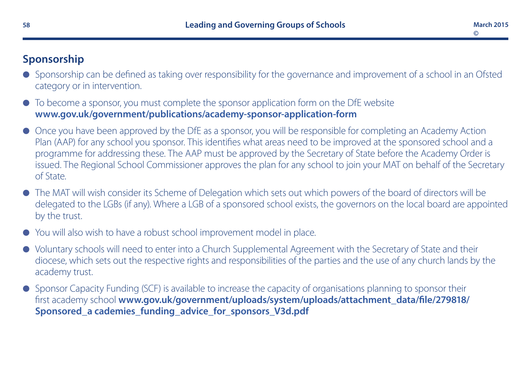# **Sponsorship**

- l Sponsorship can be defined as taking over responsibility for the governance and improvement of a school in an Ofsted category or in intervention.
- $\bullet$  To become a sponsor, you must complete the sponsor application form on the DfE website **[www.gov.uk/government/publications/academy-sponsor-application-form](http://www.gov.uk/government/publications/academy-sponsor-application-form)**
- l Once you have been approved by the DfE as a sponsor, you will be responsible for completing an Academy Action Plan (AAP) for any school you sponsor. This identifies what areas need to be improved at the sponsored school and a programme for addressing these. The AAP must be approved by the Secretary of State before the Academy Order is issued. The Regional School Commissioner approves the plan for any school to join your MAT on behalf of the Secretary of State.
- l The MAT will wish consider its Scheme of Delegation which sets out which powers of the board of directors will be delegated to the LGBs (if any). Where a LGB of a sponsored school exists, the governors on the local board are appointed by the trust.
- l You will also wish to have a robust school improvement model in place.
- l Voluntary schools will need to enter into a Church Supplemental Agreement with the Secretary of State and their diocese, which sets out the respective rights and responsibilities of the parties and the use of any church lands by the academy trust.
- Sponsor Capacity Funding (SCF) is available to increase the capacity of organisations planning to sponsor their first academy school **[www.gov.uk/government/uploads/system/uploads/attachment\\_data/file/279818/](https://www.gov.uk/government/uploads/system/uploads/attachment_data/file/279818/Sponsored_academies_funding_advice_for_sponsors_V3d.pdf) [Sponsored\\_a cademies\\_funding\\_advice\\_for\\_sponsors\\_V3d.pdf](https://www.gov.uk/government/uploads/system/uploads/attachment_data/file/279818/Sponsored_academies_funding_advice_for_sponsors_V3d.pdf)**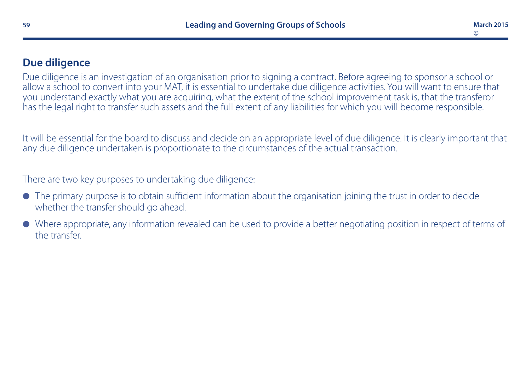# **Due diligence**

Due diligence is an investigation of an organisation prior to signing a contract. Before agreeing to sponsor a school or allow a school to convert into your MAT, it is essential to undertake due diligence activities. You will want to ensure that you understand exactly what you are acquiring, what the extent of the school improvement task is, that the transferor has the legal right to transfer such assets and the full extent of any liabilities for which you will become responsible.

It will be essential for the board to discuss and decide on an appropriate level of due diligence. It is clearly important that any due diligence undertaken is proportionate to the circumstances of the actual transaction.

There are two key purposes to undertaking due diligence:

- $\bullet$  The primary purpose is to obtain sufficient information about the organisation joining the trust in order to decide whether the transfer should go ahead.
- l Where appropriate, any information revealed can be used to provide a better negotiating position in respect of terms of the transfer.